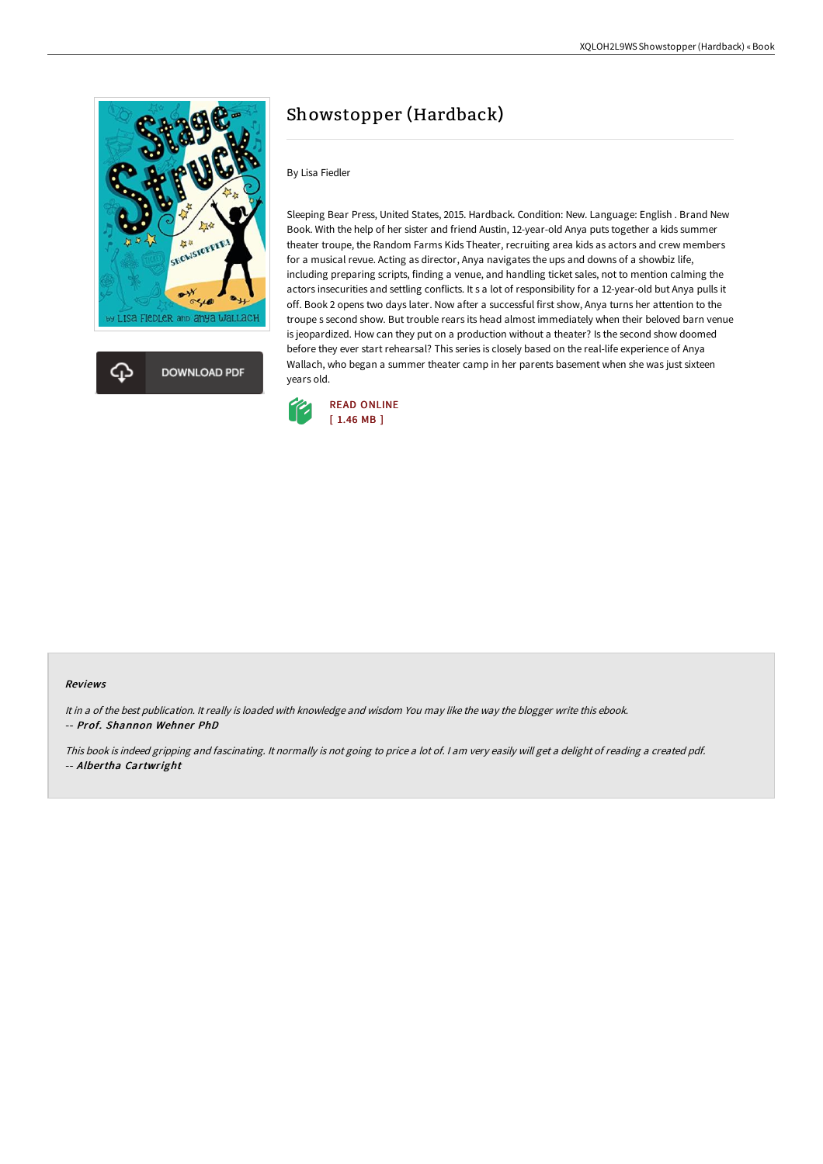

## Showstopper (Hardback)

## By Lisa Fiedler

Sleeping Bear Press, United States, 2015. Hardback. Condition: New. Language: English . Brand New Book. With the help of her sister and friend Austin, 12-year-old Anya puts together a kids summer theater troupe, the Random Farms Kids Theater, recruiting area kids as actors and crew members for a musical revue. Acting as director, Anya navigates the ups and downs of a showbiz life, including preparing scripts, finding a venue, and handling ticket sales, not to mention calming the actors insecurities and settling conflicts. It s a lot of responsibility for a 12-year-old but Anya pulls it off. Book 2 opens two days later. Now after a successful first show, Anya turns her attention to the troupe s second show. But trouble rears its head almost immediately when their beloved barn venue is jeopardized. How can they put on a production without a theater? Is the second show doomed before they ever start rehearsal? This series is closely based on the real-life experience of Anya Wallach, who began a summer theater camp in her parents basement when she was just sixteen years old.



## Reviews

It in <sup>a</sup> of the best publication. It really is loaded with knowledge and wisdom You may like the way the blogger write this ebook. -- Prof. Shannon Wehner PhD

This book is indeed gripping and fascinating. It normally is not going to price <sup>a</sup> lot of. <sup>I</sup> am very easily will get <sup>a</sup> delight of reading <sup>a</sup> created pdf. -- Albertha Cartwright